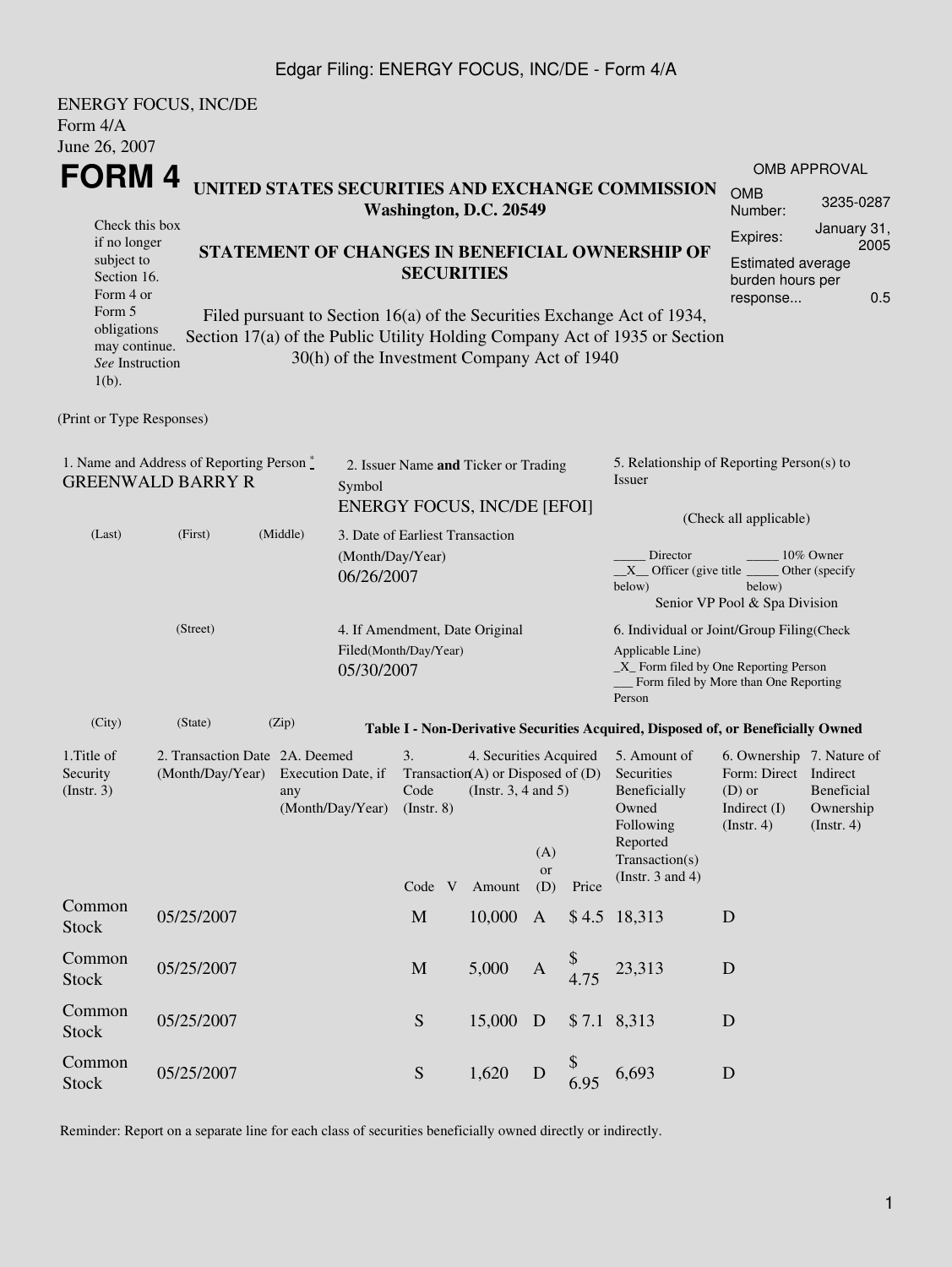#### Edgar Filing: ENERGY FOCUS, INC/DE - Form 4/A

| <b>ENERGY FOCUS, INC/DE</b><br>Form $4/A$<br>June 26, 2007                                                                     |                     |                                                                                                                                                                                                      |       |                             |                                                         |                                                                                                  |        |                  |                                                                                                                                                            |                                                                                                                                                   |                                                    |                                                        |  |  |
|--------------------------------------------------------------------------------------------------------------------------------|---------------------|------------------------------------------------------------------------------------------------------------------------------------------------------------------------------------------------------|-------|-----------------------------|---------------------------------------------------------|--------------------------------------------------------------------------------------------------|--------|------------------|------------------------------------------------------------------------------------------------------------------------------------------------------------|---------------------------------------------------------------------------------------------------------------------------------------------------|----------------------------------------------------|--------------------------------------------------------|--|--|
|                                                                                                                                |                     |                                                                                                                                                                                                      |       |                             |                                                         |                                                                                                  |        |                  |                                                                                                                                                            |                                                                                                                                                   |                                                    | <b>OMB APPROVAL</b>                                    |  |  |
| FORM 4<br>UNITED STATES SECURITIES AND EXCHANGE COMMISSION<br>Washington, D.C. 20549                                           |                     |                                                                                                                                                                                                      |       |                             |                                                         |                                                                                                  |        |                  |                                                                                                                                                            |                                                                                                                                                   | <b>OMB</b><br>Number:                              | 3235-0287                                              |  |  |
| Check this box<br>if no longer<br>subject to<br>Section 16.<br>Form 4 or                                                       |                     |                                                                                                                                                                                                      |       |                             |                                                         | <b>SECURITIES</b>                                                                                |        |                  |                                                                                                                                                            | STATEMENT OF CHANGES IN BENEFICIAL OWNERSHIP OF                                                                                                   | Expires:<br>burden hours per<br>response           | January 31,<br>2005<br><b>Estimated average</b><br>0.5 |  |  |
| Form 5<br>obligations<br>may continue.<br>See Instruction<br>$1(b)$ .                                                          |                     | Filed pursuant to Section 16(a) of the Securities Exchange Act of 1934,<br>Section 17(a) of the Public Utility Holding Company Act of 1935 or Section<br>30(h) of the Investment Company Act of 1940 |       |                             |                                                         |                                                                                                  |        |                  |                                                                                                                                                            |                                                                                                                                                   |                                                    |                                                        |  |  |
| (Print or Type Responses)                                                                                                      |                     |                                                                                                                                                                                                      |       |                             |                                                         |                                                                                                  |        |                  |                                                                                                                                                            |                                                                                                                                                   |                                                    |                                                        |  |  |
| 1. Name and Address of Reporting Person $\stackrel{*}{\mathbb{L}}$<br><b>GREENWALD BARRY R</b>                                 |                     |                                                                                                                                                                                                      |       |                             | Symbol                                                  | 2. Issuer Name and Ticker or Trading<br><b>ENERGY FOCUS, INC/DE [EFOI]</b>                       |        |                  | 5. Relationship of Reporting Person(s) to<br>Issuer                                                                                                        |                                                                                                                                                   |                                                    |                                                        |  |  |
| (Last)                                                                                                                         | (First)<br>(Middle) |                                                                                                                                                                                                      |       |                             | (Month/Day/Year)<br>06/26/2007                          | 3. Date of Earliest Transaction                                                                  |        |                  |                                                                                                                                                            | (Check all applicable)<br>Director<br>10% Owner<br>$X$ Officer (give title<br>Other (specify<br>below)<br>below)<br>Senior VP Pool & Spa Division |                                                    |                                                        |  |  |
| (Street)                                                                                                                       |                     |                                                                                                                                                                                                      |       | 05/30/2007                  | 4. If Amendment, Date Original<br>Filed(Month/Day/Year) |                                                                                                  |        |                  | 6. Individual or Joint/Group Filing(Check<br>Applicable Line)<br>_X_ Form filed by One Reporting Person<br>Form filed by More than One Reporting<br>Person |                                                                                                                                                   |                                                    |                                                        |  |  |
| (City)                                                                                                                         | (State)             |                                                                                                                                                                                                      | (Zip) |                             |                                                         |                                                                                                  |        |                  |                                                                                                                                                            | Table I - Non-Derivative Securities Acquired, Disposed of, or Beneficially Owned                                                                  |                                                    |                                                        |  |  |
| 2. Transaction Date 2A. Deemed<br>1. Title of<br>Security<br>(Month/Day/Year)<br>Execution Date, if<br>$($ Instr. 3 $)$<br>any |                     |                                                                                                                                                                                                      |       | (Month/Day/Year) (Instr. 8) | 3.<br>Code                                              | 4. Securities Acquired<br>Transaction(A) or Disposed of $(D)$<br>(Instr. $3, 4$ and $5$ )<br>(A) |        |                  | 5. Amount of<br>Securities<br>Beneficially<br>Owned<br>Following<br>Reported<br>Transaction(s)                                                             | 6. Ownership 7. Nature of<br>Form: Direct Indirect<br>$(D)$ or<br>Indirect $(I)$<br>$($ Instr. 4 $)$                                              | <b>Beneficial</b><br>Ownership<br>$($ Instr. 4 $)$ |                                                        |  |  |
|                                                                                                                                |                     |                                                                                                                                                                                                      |       |                             |                                                         | Code V                                                                                           | Amount | <b>or</b><br>(D) | Price                                                                                                                                                      | (Instr. $3$ and $4$ )                                                                                                                             |                                                    |                                                        |  |  |
| Common<br><b>Stock</b>                                                                                                         | 05/25/2007          |                                                                                                                                                                                                      |       |                             |                                                         | $\mathbf M$                                                                                      | 10,000 | $\mathbf{A}$     |                                                                                                                                                            | \$4.5 18,313                                                                                                                                      | D                                                  |                                                        |  |  |
| Common<br><b>Stock</b>                                                                                                         | 05/25/2007          |                                                                                                                                                                                                      |       |                             |                                                         | M                                                                                                | 5,000  | $\mathbf{A}$     | 4.75                                                                                                                                                       | 23,313                                                                                                                                            | D                                                  |                                                        |  |  |
| Common<br><b>Stock</b>                                                                                                         | 05/25/2007          |                                                                                                                                                                                                      |       |                             |                                                         | ${\mathbf S}$                                                                                    | 15,000 | $\mathbf D$      |                                                                                                                                                            | $$7.1$ 8,313                                                                                                                                      | D                                                  |                                                        |  |  |
| Common<br><b>Stock</b>                                                                                                         | 05/25/2007          |                                                                                                                                                                                                      |       |                             |                                                         | ${\bf S}$                                                                                        | 1,620  | D                | \$<br>6.95                                                                                                                                                 | 6,693                                                                                                                                             | D                                                  |                                                        |  |  |

Reminder: Report on a separate line for each class of securities beneficially owned directly or indirectly.